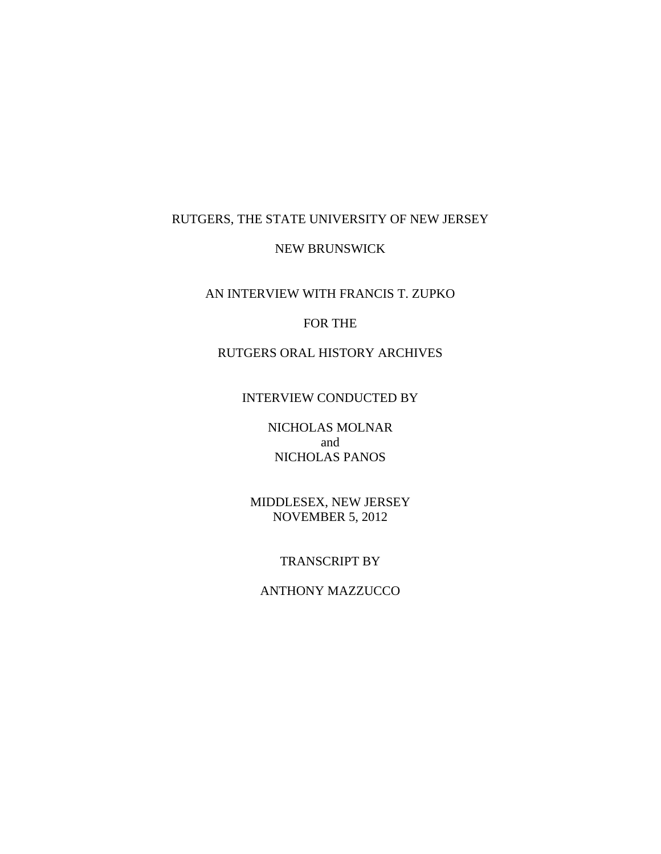## RUTGERS, THE STATE UNIVERSITY OF NEW JERSEY

#### NEW BRUNSWICK

AN INTERVIEW WITH FRANCIS T. ZUPKO

### FOR THE

# RUTGERS ORAL HISTORY ARCHIVES

## INTERVIEW CONDUCTED BY

NICHOLAS MOLNAR and NICHOLAS PANOS

MIDDLESEX, NEW JERSEY NOVEMBER 5, 2012

### TRANSCRIPT BY

### ANTHONY MAZZUCCO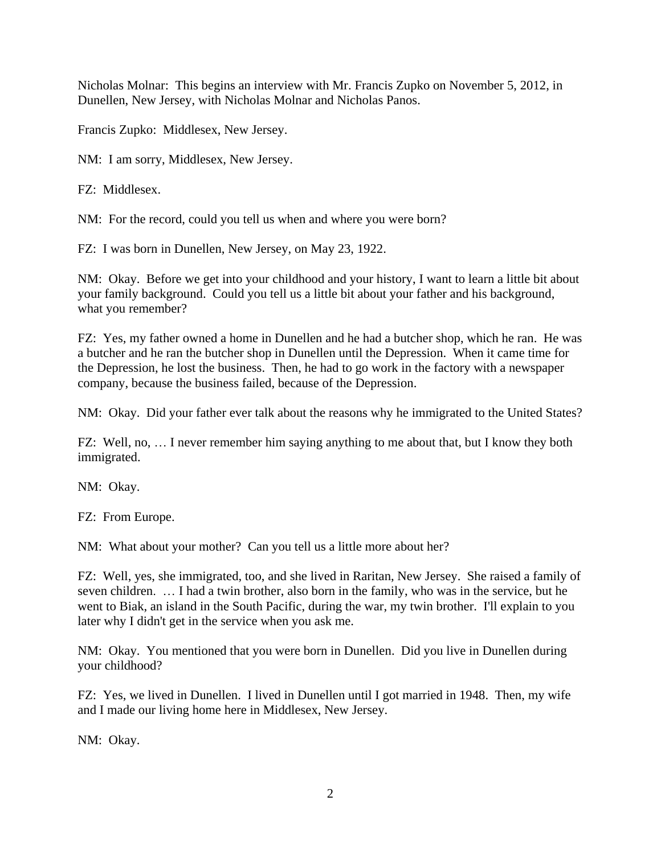Nicholas Molnar: This begins an interview with Mr. Francis Zupko on November 5, 2012, in Dunellen, New Jersey, with Nicholas Molnar and Nicholas Panos.

Francis Zupko: Middlesex, New Jersey.

NM: I am sorry, Middlesex, New Jersey.

FZ: Middlesex.

NM: For the record, could you tell us when and where you were born?

FZ: I was born in Dunellen, New Jersey, on May 23, 1922.

NM: Okay. Before we get into your childhood and your history, I want to learn a little bit about your family background. Could you tell us a little bit about your father and his background, what you remember?

FZ: Yes, my father owned a home in Dunellen and he had a butcher shop, which he ran. He was a butcher and he ran the butcher shop in Dunellen until the Depression. When it came time for the Depression, he lost the business. Then, he had to go work in the factory with a newspaper company, because the business failed, because of the Depression.

NM: Okay. Did your father ever talk about the reasons why he immigrated to the United States?

FZ: Well, no, … I never remember him saying anything to me about that, but I know they both immigrated.

NM: Okay.

FZ: From Europe.

NM: What about your mother? Can you tell us a little more about her?

FZ: Well, yes, she immigrated, too, and she lived in Raritan, New Jersey. She raised a family of seven children. … I had a twin brother, also born in the family, who was in the service, but he went to Biak, an island in the South Pacific, during the war, my twin brother. I'll explain to you later why I didn't get in the service when you ask me.

NM: Okay. You mentioned that you were born in Dunellen. Did you live in Dunellen during your childhood?

FZ: Yes, we lived in Dunellen. I lived in Dunellen until I got married in 1948. Then, my wife and I made our living home here in Middlesex, New Jersey.

NM: Okay.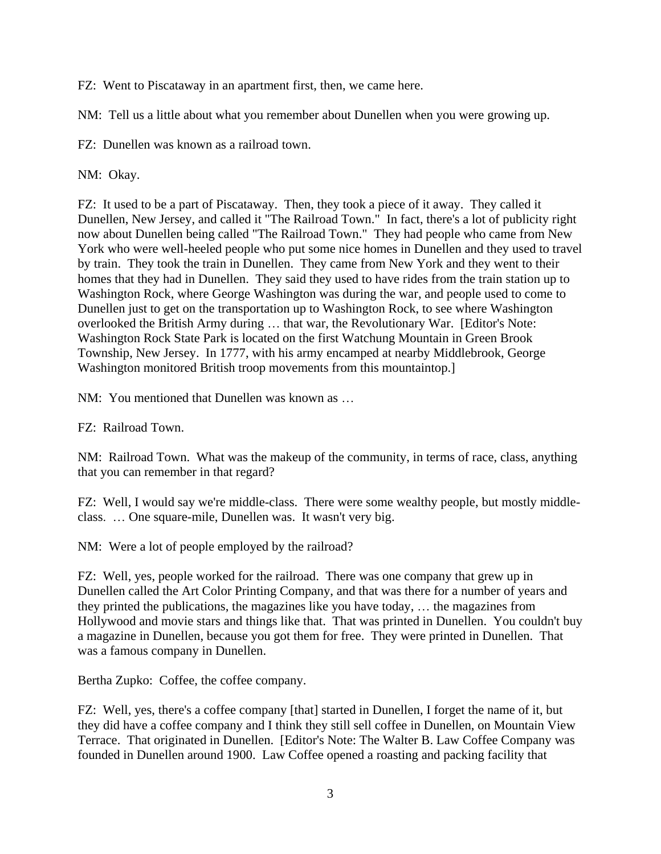FZ: Went to Piscataway in an apartment first, then, we came here.

NM: Tell us a little about what you remember about Dunellen when you were growing up.

FZ: Dunellen was known as a railroad town.

NM: Okay.

FZ: It used to be a part of Piscataway. Then, they took a piece of it away. They called it Dunellen, New Jersey, and called it "The Railroad Town." In fact, there's a lot of publicity right now about Dunellen being called "The Railroad Town." They had people who came from New York who were well-heeled people who put some nice homes in Dunellen and they used to travel by train. They took the train in Dunellen. They came from New York and they went to their homes that they had in Dunellen. They said they used to have rides from the train station up to Washington Rock, where George Washington was during the war, and people used to come to Dunellen just to get on the transportation up to Washington Rock, to see where Washington overlooked the British Army during … that war, the Revolutionary War. [Editor's Note: Washington Rock State Park is located on the first Watchung Mountain in Green Brook Township, New Jersey. In 1777, with his army encamped at nearby Middlebrook, George Washington monitored British troop movements from this mountaintop.]

NM: You mentioned that Dunellen was known as …

FZ: Railroad Town.

NM: Railroad Town. What was the makeup of the community, in terms of race, class, anything that you can remember in that regard?

FZ: Well, I would say we're middle-class. There were some wealthy people, but mostly middleclass. … One square-mile, Dunellen was. It wasn't very big.

NM: Were a lot of people employed by the railroad?

FZ: Well, yes, people worked for the railroad. There was one company that grew up in Dunellen called the Art Color Printing Company, and that was there for a number of years and they printed the publications, the magazines like you have today, … the magazines from Hollywood and movie stars and things like that. That was printed in Dunellen. You couldn't buy a magazine in Dunellen, because you got them for free. They were printed in Dunellen. That was a famous company in Dunellen.

Bertha Zupko: Coffee, the coffee company.

FZ: Well, yes, there's a coffee company [that] started in Dunellen, I forget the name of it, but they did have a coffee company and I think they still sell coffee in Dunellen, on Mountain View Terrace. That originated in Dunellen. [Editor's Note: The Walter B. Law Coffee Company was founded in Dunellen around 1900. Law Coffee opened a roasting and packing facility that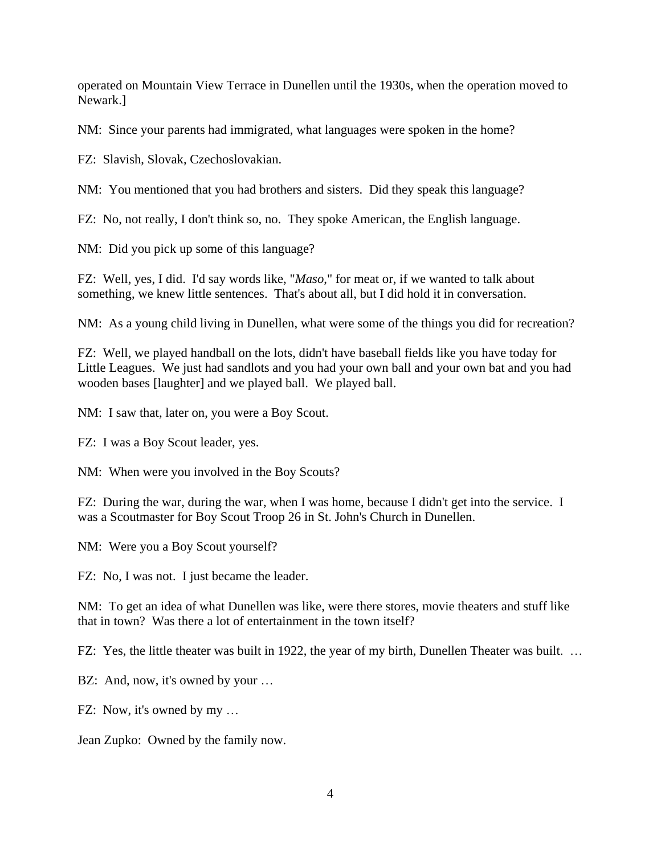operated on Mountain View Terrace in Dunellen until the 1930s, when the operation moved to Newark.]

NM: Since your parents had immigrated, what languages were spoken in the home?

FZ: Slavish, Slovak, Czechoslovakian.

NM: You mentioned that you had brothers and sisters. Did they speak this language?

FZ: No, not really, I don't think so, no. They spoke American, the English language.

NM: Did you pick up some of this language?

FZ: Well, yes, I did. I'd say words like, "*Maso*," for meat or, if we wanted to talk about something, we knew little sentences. That's about all, but I did hold it in conversation.

NM: As a young child living in Dunellen, what were some of the things you did for recreation?

FZ: Well, we played handball on the lots, didn't have baseball fields like you have today for Little Leagues. We just had sandlots and you had your own ball and your own bat and you had wooden bases [laughter] and we played ball. We played ball.

NM: I saw that, later on, you were a Boy Scout.

FZ: I was a Boy Scout leader, yes.

NM: When were you involved in the Boy Scouts?

FZ: During the war, during the war, when I was home, because I didn't get into the service. I was a Scoutmaster for Boy Scout Troop 26 in St. John's Church in Dunellen.

NM: Were you a Boy Scout yourself?

FZ: No, I was not. I just became the leader.

NM: To get an idea of what Dunellen was like, were there stores, movie theaters and stuff like that in town? Was there a lot of entertainment in the town itself?

FZ: Yes, the little theater was built in 1922, the year of my birth, Dunellen Theater was built. ...

BZ: And, now, it's owned by your ...

FZ: Now, it's owned by my …

Jean Zupko: Owned by the family now.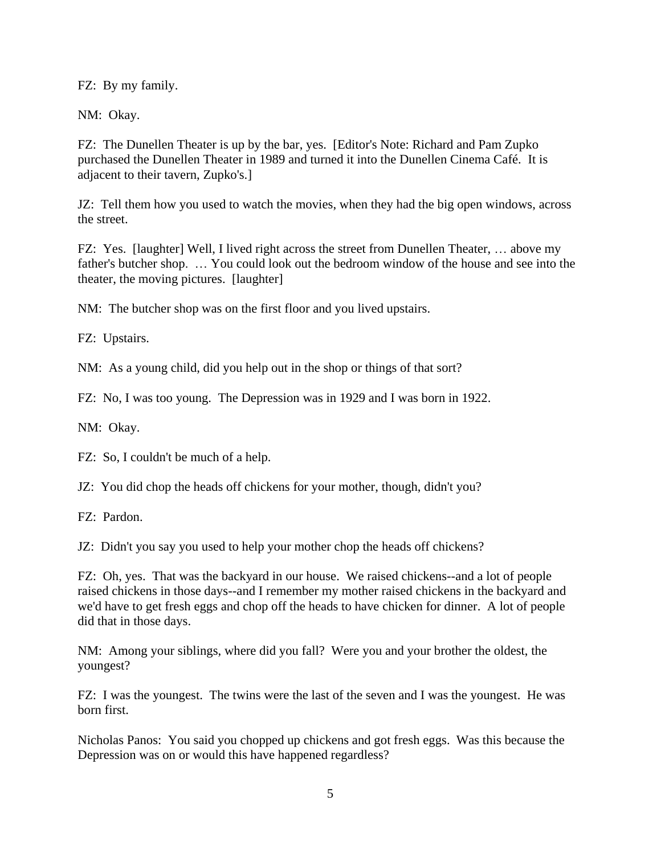FZ: By my family.

NM: Okay.

FZ: The Dunellen Theater is up by the bar, yes. [Editor's Note: Richard and Pam Zupko purchased the Dunellen Theater in 1989 and turned it into the Dunellen Cinema Café. It is adjacent to their tavern, Zupko's.]

JZ: Tell them how you used to watch the movies, when they had the big open windows, across the street.

FZ: Yes. [laughter] Well, I lived right across the street from Dunellen Theater, … above my father's butcher shop. … You could look out the bedroom window of the house and see into the theater, the moving pictures. [laughter]

NM: The butcher shop was on the first floor and you lived upstairs.

FZ: Upstairs.

NM: As a young child, did you help out in the shop or things of that sort?

FZ: No, I was too young. The Depression was in 1929 and I was born in 1922.

NM: Okay.

FZ: So, I couldn't be much of a help.

JZ: You did chop the heads off chickens for your mother, though, didn't you?

FZ: Pardon.

JZ: Didn't you say you used to help your mother chop the heads off chickens?

FZ: Oh, yes. That was the backyard in our house. We raised chickens--and a lot of people raised chickens in those days--and I remember my mother raised chickens in the backyard and we'd have to get fresh eggs and chop off the heads to have chicken for dinner. A lot of people did that in those days.

NM: Among your siblings, where did you fall? Were you and your brother the oldest, the youngest?

FZ: I was the youngest. The twins were the last of the seven and I was the youngest. He was born first.

Nicholas Panos: You said you chopped up chickens and got fresh eggs. Was this because the Depression was on or would this have happened regardless?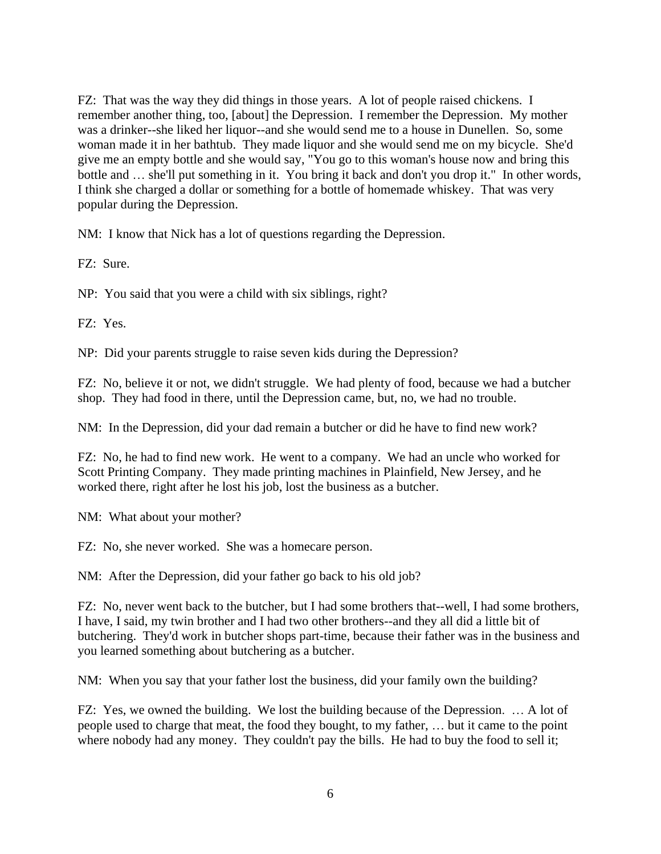FZ: That was the way they did things in those years. A lot of people raised chickens. I remember another thing, too, [about] the Depression. I remember the Depression. My mother was a drinker--she liked her liquor--and she would send me to a house in Dunellen. So, some woman made it in her bathtub. They made liquor and she would send me on my bicycle. She'd give me an empty bottle and she would say, "You go to this woman's house now and bring this bottle and … she'll put something in it. You bring it back and don't you drop it." In other words, I think she charged a dollar or something for a bottle of homemade whiskey. That was very popular during the Depression.

NM: I know that Nick has a lot of questions regarding the Depression.

FZ: Sure.

NP: You said that you were a child with six siblings, right?

FZ: Yes.

NP: Did your parents struggle to raise seven kids during the Depression?

FZ: No, believe it or not, we didn't struggle. We had plenty of food, because we had a butcher shop. They had food in there, until the Depression came, but, no, we had no trouble.

NM: In the Depression, did your dad remain a butcher or did he have to find new work?

FZ: No, he had to find new work. He went to a company. We had an uncle who worked for Scott Printing Company. They made printing machines in Plainfield, New Jersey, and he worked there, right after he lost his job, lost the business as a butcher.

NM: What about your mother?

FZ: No, she never worked. She was a homecare person.

NM: After the Depression, did your father go back to his old job?

FZ: No, never went back to the butcher, but I had some brothers that--well, I had some brothers, I have, I said, my twin brother and I had two other brothers--and they all did a little bit of butchering. They'd work in butcher shops part-time, because their father was in the business and you learned something about butchering as a butcher.

NM: When you say that your father lost the business, did your family own the building?

FZ: Yes, we owned the building. We lost the building because of the Depression. … A lot of people used to charge that meat, the food they bought, to my father, … but it came to the point where nobody had any money. They couldn't pay the bills. He had to buy the food to sell it;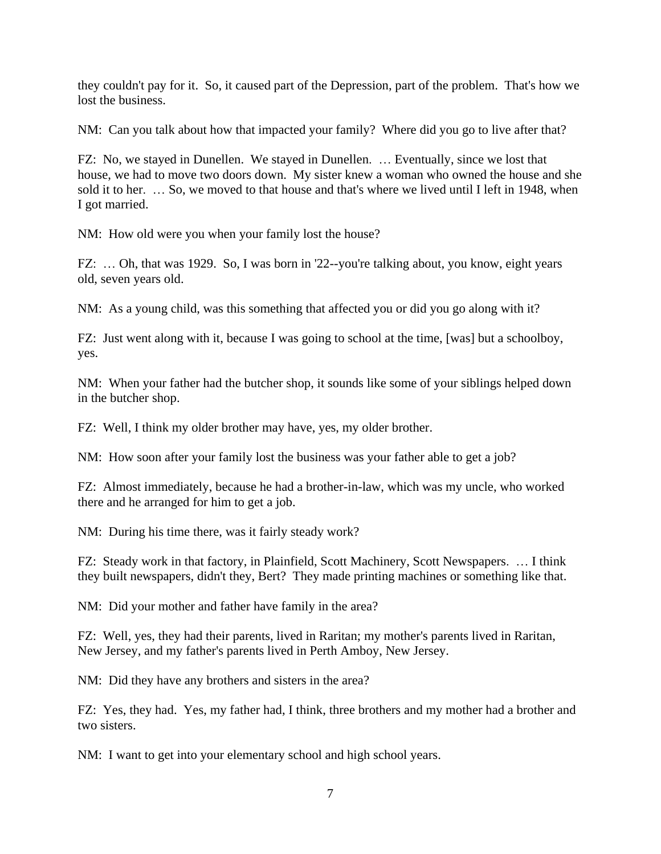they couldn't pay for it. So, it caused part of the Depression, part of the problem. That's how we lost the business.

NM: Can you talk about how that impacted your family? Where did you go to live after that?

FZ: No, we stayed in Dunellen. We stayed in Dunellen. … Eventually, since we lost that house, we had to move two doors down. My sister knew a woman who owned the house and she sold it to her. … So, we moved to that house and that's where we lived until I left in 1948, when I got married.

NM: How old were you when your family lost the house?

FZ: … Oh, that was 1929. So, I was born in '22--you're talking about, you know, eight years old, seven years old.

NM: As a young child, was this something that affected you or did you go along with it?

FZ: Just went along with it, because I was going to school at the time, [was] but a schoolboy, yes.

NM: When your father had the butcher shop, it sounds like some of your siblings helped down in the butcher shop.

FZ: Well, I think my older brother may have, yes, my older brother.

NM: How soon after your family lost the business was your father able to get a job?

FZ: Almost immediately, because he had a brother-in-law, which was my uncle, who worked there and he arranged for him to get a job.

NM: During his time there, was it fairly steady work?

FZ: Steady work in that factory, in Plainfield, Scott Machinery, Scott Newspapers. … I think they built newspapers, didn't they, Bert? They made printing machines or something like that.

NM: Did your mother and father have family in the area?

FZ: Well, yes, they had their parents, lived in Raritan; my mother's parents lived in Raritan, New Jersey, and my father's parents lived in Perth Amboy, New Jersey.

NM: Did they have any brothers and sisters in the area?

FZ: Yes, they had. Yes, my father had, I think, three brothers and my mother had a brother and two sisters.

NM: I want to get into your elementary school and high school years.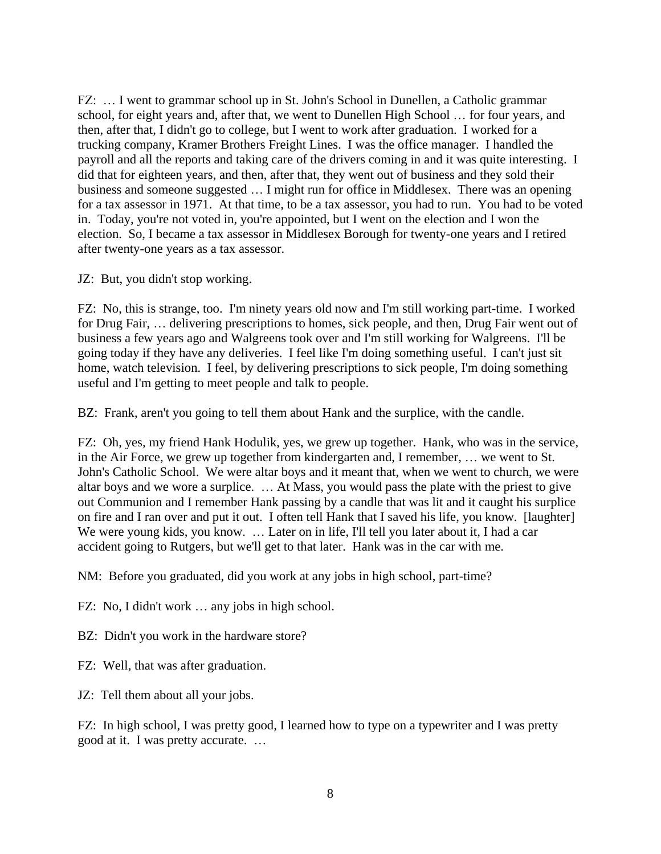FZ: … I went to grammar school up in St. John's School in Dunellen, a Catholic grammar school, for eight years and, after that, we went to Dunellen High School … for four years, and then, after that, I didn't go to college, but I went to work after graduation. I worked for a trucking company, Kramer Brothers Freight Lines. I was the office manager. I handled the payroll and all the reports and taking care of the drivers coming in and it was quite interesting. I did that for eighteen years, and then, after that, they went out of business and they sold their business and someone suggested … I might run for office in Middlesex. There was an opening for a tax assessor in 1971. At that time, to be a tax assessor, you had to run. You had to be voted in. Today, you're not voted in, you're appointed, but I went on the election and I won the election. So, I became a tax assessor in Middlesex Borough for twenty-one years and I retired after twenty-one years as a tax assessor.

JZ: But, you didn't stop working.

FZ: No, this is strange, too. I'm ninety years old now and I'm still working part-time. I worked for Drug Fair, … delivering prescriptions to homes, sick people, and then, Drug Fair went out of business a few years ago and Walgreens took over and I'm still working for Walgreens. I'll be going today if they have any deliveries. I feel like I'm doing something useful. I can't just sit home, watch television. I feel, by delivering prescriptions to sick people, I'm doing something useful and I'm getting to meet people and talk to people.

BZ: Frank, aren't you going to tell them about Hank and the surplice, with the candle.

FZ: Oh, yes, my friend Hank Hodulik, yes, we grew up together. Hank, who was in the service, in the Air Force, we grew up together from kindergarten and, I remember, … we went to St. John's Catholic School. We were altar boys and it meant that, when we went to church, we were altar boys and we wore a surplice. … At Mass, you would pass the plate with the priest to give out Communion and I remember Hank passing by a candle that was lit and it caught his surplice on fire and I ran over and put it out. I often tell Hank that I saved his life, you know. [laughter] We were young kids, you know. ... Later on in life, I'll tell you later about it, I had a car accident going to Rutgers, but we'll get to that later. Hank was in the car with me.

NM: Before you graduated, did you work at any jobs in high school, part-time?

FZ: No, I didn't work … any jobs in high school.

BZ: Didn't you work in the hardware store?

FZ: Well, that was after graduation.

JZ: Tell them about all your jobs.

FZ: In high school, I was pretty good, I learned how to type on a typewriter and I was pretty good at it. I was pretty accurate. …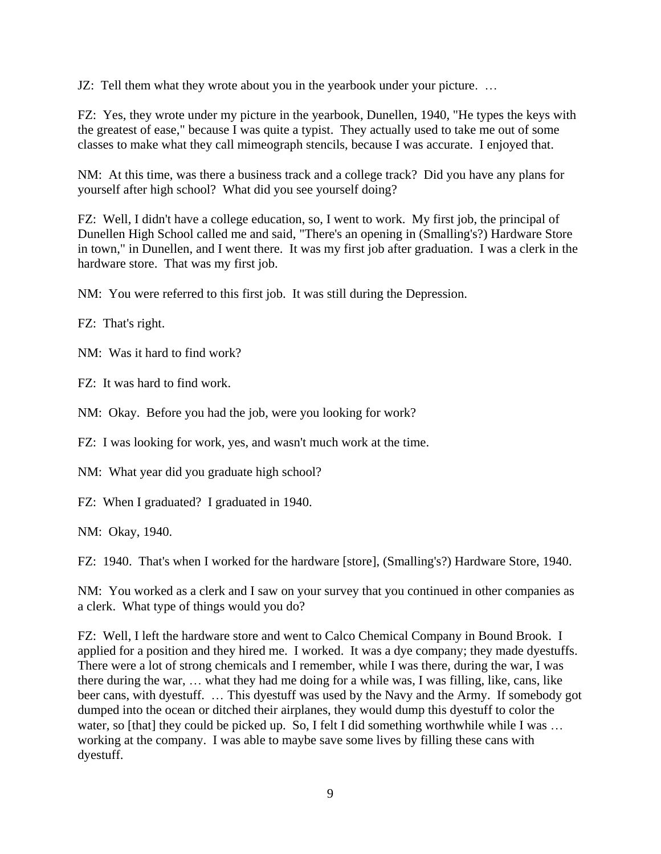JZ: Tell them what they wrote about you in the yearbook under your picture. …

FZ: Yes, they wrote under my picture in the yearbook, Dunellen, 1940, "He types the keys with the greatest of ease," because I was quite a typist. They actually used to take me out of some classes to make what they call mimeograph stencils, because I was accurate. I enjoyed that.

NM: At this time, was there a business track and a college track? Did you have any plans for yourself after high school? What did you see yourself doing?

FZ: Well, I didn't have a college education, so, I went to work. My first job, the principal of Dunellen High School called me and said, "There's an opening in (Smalling's?) Hardware Store in town," in Dunellen, and I went there. It was my first job after graduation. I was a clerk in the hardware store. That was my first job.

NM: You were referred to this first job. It was still during the Depression.

FZ: That's right.

NM: Was it hard to find work?

FZ: It was hard to find work.

NM: Okay. Before you had the job, were you looking for work?

FZ: I was looking for work, yes, and wasn't much work at the time.

NM: What year did you graduate high school?

FZ: When I graduated? I graduated in 1940.

NM: Okay, 1940.

FZ: 1940. That's when I worked for the hardware [store], (Smalling's?) Hardware Store, 1940.

NM: You worked as a clerk and I saw on your survey that you continued in other companies as a clerk. What type of things would you do?

FZ: Well, I left the hardware store and went to Calco Chemical Company in Bound Brook. I applied for a position and they hired me. I worked. It was a dye company; they made dyestuffs. There were a lot of strong chemicals and I remember, while I was there, during the war, I was there during the war, … what they had me doing for a while was, I was filling, like, cans, like beer cans, with dyestuff. … This dyestuff was used by the Navy and the Army. If somebody got dumped into the ocean or ditched their airplanes, they would dump this dyestuff to color the water, so [that] they could be picked up. So, I felt I did something worthwhile while I was ... working at the company. I was able to maybe save some lives by filling these cans with dyestuff.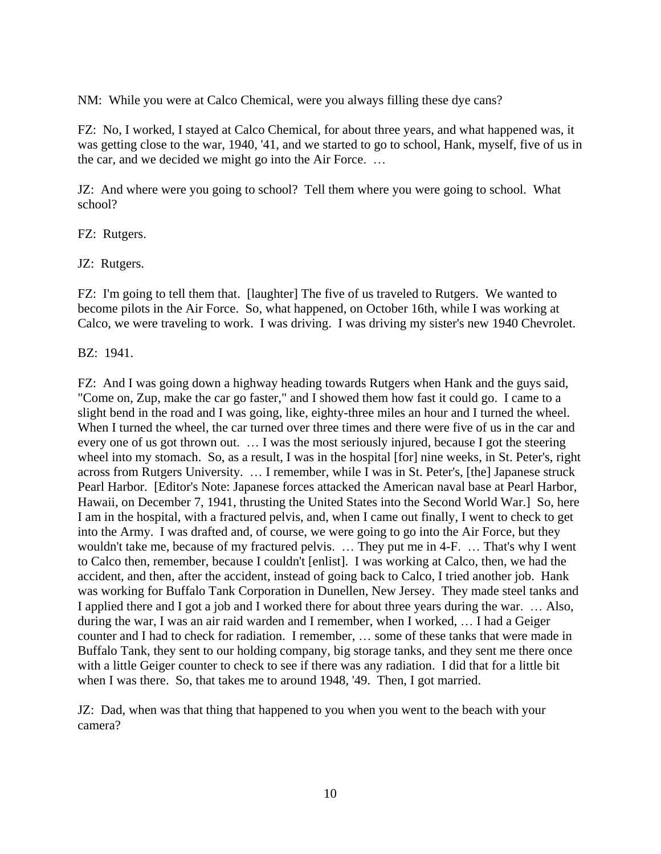NM: While you were at Calco Chemical, were you always filling these dye cans?

FZ: No, I worked, I stayed at Calco Chemical, for about three years, and what happened was, it was getting close to the war, 1940, '41, and we started to go to school, Hank, myself, five of us in the car, and we decided we might go into the Air Force. …

JZ: And where were you going to school? Tell them where you were going to school. What school?

FZ: Rutgers.

JZ: Rutgers.

FZ: I'm going to tell them that. [laughter] The five of us traveled to Rutgers. We wanted to become pilots in the Air Force. So, what happened, on October 16th, while I was working at Calco, we were traveling to work. I was driving. I was driving my sister's new 1940 Chevrolet.

BZ: 1941.

FZ: And I was going down a highway heading towards Rutgers when Hank and the guys said, "Come on, Zup, make the car go faster," and I showed them how fast it could go. I came to a slight bend in the road and I was going, like, eighty-three miles an hour and I turned the wheel. When I turned the wheel, the car turned over three times and there were five of us in the car and every one of us got thrown out. … I was the most seriously injured, because I got the steering wheel into my stomach. So, as a result, I was in the hospital [for] nine weeks, in St. Peter's, right across from Rutgers University. … I remember, while I was in St. Peter's, [the] Japanese struck Pearl Harbor. [Editor's Note: Japanese forces attacked the American naval base at Pearl Harbor, Hawaii, on December 7, 1941, thrusting the United States into the Second World War.] So, here I am in the hospital, with a fractured pelvis, and, when I came out finally, I went to check to get into the Army. I was drafted and, of course, we were going to go into the Air Force, but they wouldn't take me, because of my fractured pelvis. … They put me in 4-F. … That's why I went to Calco then, remember, because I couldn't [enlist]. I was working at Calco, then, we had the accident, and then, after the accident, instead of going back to Calco, I tried another job. Hank was working for Buffalo Tank Corporation in Dunellen, New Jersey. They made steel tanks and I applied there and I got a job and I worked there for about three years during the war. … Also, during the war, I was an air raid warden and I remember, when I worked, … I had a Geiger counter and I had to check for radiation. I remember, … some of these tanks that were made in Buffalo Tank, they sent to our holding company, big storage tanks, and they sent me there once with a little Geiger counter to check to see if there was any radiation. I did that for a little bit when I was there. So, that takes me to around 1948, '49. Then, I got married.

JZ: Dad, when was that thing that happened to you when you went to the beach with your camera?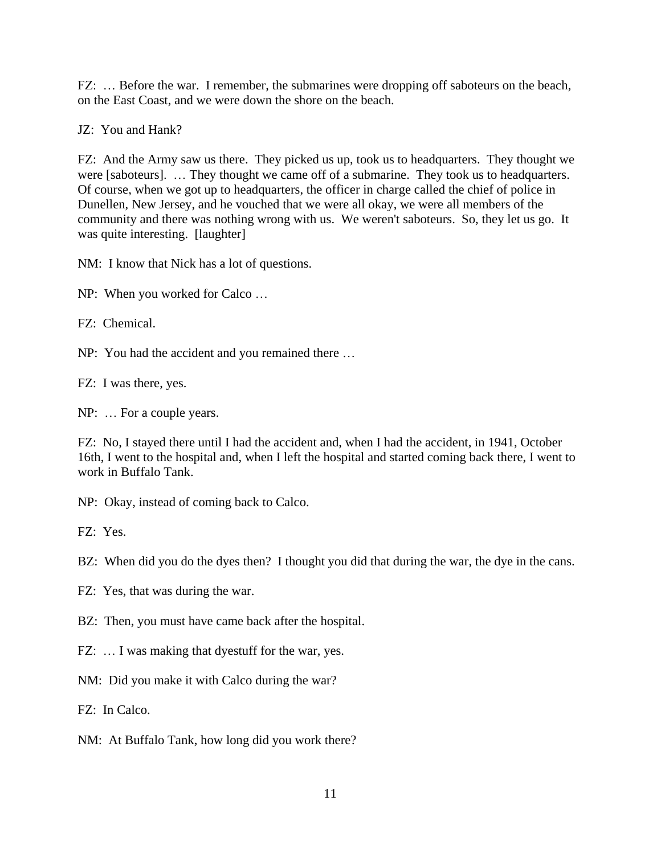FZ: ... Before the war. I remember, the submarines were dropping off saboteurs on the beach, on the East Coast, and we were down the shore on the beach.

JZ: You and Hank?

FZ: And the Army saw us there. They picked us up, took us to headquarters. They thought we were [saboteurs]. … They thought we came off of a submarine. They took us to headquarters. Of course, when we got up to headquarters, the officer in charge called the chief of police in Dunellen, New Jersey, and he vouched that we were all okay, we were all members of the community and there was nothing wrong with us. We weren't saboteurs. So, they let us go. It was quite interesting. [laughter]

NM: I know that Nick has a lot of questions.

NP: When you worked for Calco …

FZ: Chemical.

NP: You had the accident and you remained there …

FZ: I was there, yes.

NP: … For a couple years.

FZ: No, I stayed there until I had the accident and, when I had the accident, in 1941, October 16th, I went to the hospital and, when I left the hospital and started coming back there, I went to work in Buffalo Tank.

NP: Okay, instead of coming back to Calco.

FZ: Yes.

BZ: When did you do the dyes then? I thought you did that during the war, the dye in the cans.

FZ: Yes, that was during the war.

BZ: Then, you must have came back after the hospital.

FZ: ... I was making that dyestuff for the war, yes.

NM: Did you make it with Calco during the war?

FZ: In Calco.

NM: At Buffalo Tank, how long did you work there?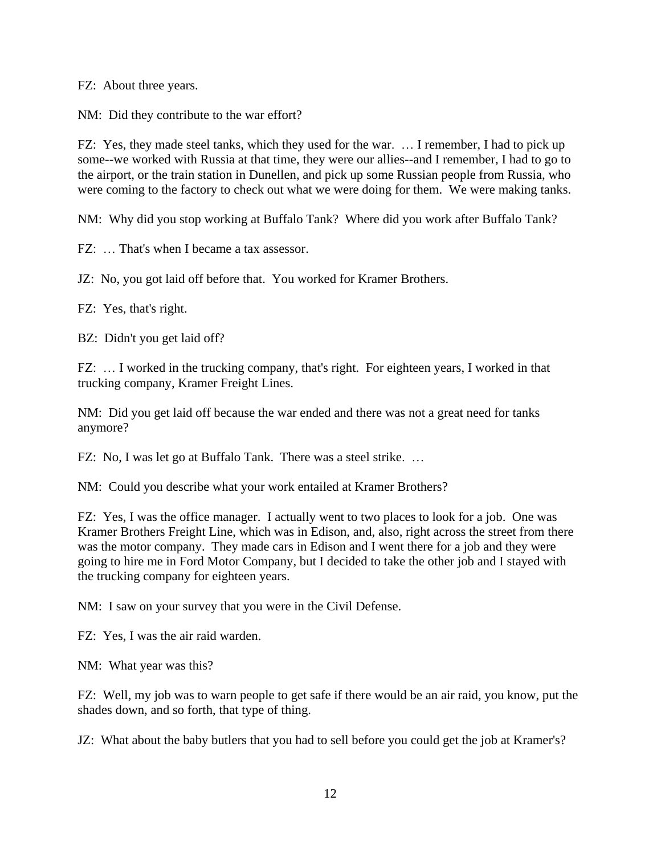FZ: About three years.

NM: Did they contribute to the war effort?

FZ: Yes, they made steel tanks, which they used for the war. … I remember, I had to pick up some--we worked with Russia at that time, they were our allies--and I remember, I had to go to the airport, or the train station in Dunellen, and pick up some Russian people from Russia, who were coming to the factory to check out what we were doing for them. We were making tanks.

NM: Why did you stop working at Buffalo Tank? Where did you work after Buffalo Tank?

FZ: … That's when I became a tax assessor.

JZ: No, you got laid off before that. You worked for Kramer Brothers.

FZ: Yes, that's right.

BZ: Didn't you get laid off?

FZ: ... I worked in the trucking company, that's right. For eighteen years, I worked in that trucking company, Kramer Freight Lines.

NM: Did you get laid off because the war ended and there was not a great need for tanks anymore?

FZ: No, I was let go at Buffalo Tank. There was a steel strike. …

NM: Could you describe what your work entailed at Kramer Brothers?

FZ: Yes, I was the office manager. I actually went to two places to look for a job. One was Kramer Brothers Freight Line, which was in Edison, and, also, right across the street from there was the motor company. They made cars in Edison and I went there for a job and they were going to hire me in Ford Motor Company, but I decided to take the other job and I stayed with the trucking company for eighteen years.

NM: I saw on your survey that you were in the Civil Defense.

FZ: Yes, I was the air raid warden.

NM: What year was this?

FZ: Well, my job was to warn people to get safe if there would be an air raid, you know, put the shades down, and so forth, that type of thing.

JZ: What about the baby butlers that you had to sell before you could get the job at Kramer's?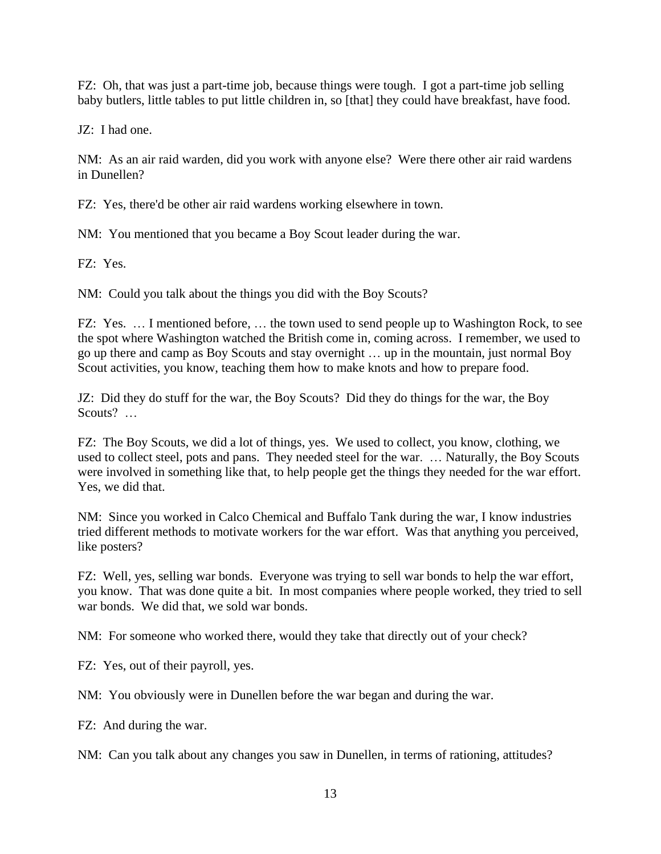FZ: Oh, that was just a part-time job, because things were tough. I got a part-time job selling baby butlers, little tables to put little children in, so [that] they could have breakfast, have food.

JZ: I had one.

NM: As an air raid warden, did you work with anyone else? Were there other air raid wardens in Dunellen?

FZ: Yes, there'd be other air raid wardens working elsewhere in town.

NM: You mentioned that you became a Boy Scout leader during the war.

FZ: Yes.

NM: Could you talk about the things you did with the Boy Scouts?

FZ: Yes. … I mentioned before, … the town used to send people up to Washington Rock, to see the spot where Washington watched the British come in, coming across. I remember, we used to go up there and camp as Boy Scouts and stay overnight … up in the mountain, just normal Boy Scout activities, you know, teaching them how to make knots and how to prepare food.

JZ: Did they do stuff for the war, the Boy Scouts? Did they do things for the war, the Boy Scouts? ...

FZ: The Boy Scouts, we did a lot of things, yes. We used to collect, you know, clothing, we used to collect steel, pots and pans. They needed steel for the war. … Naturally, the Boy Scouts were involved in something like that, to help people get the things they needed for the war effort. Yes, we did that.

NM: Since you worked in Calco Chemical and Buffalo Tank during the war, I know industries tried different methods to motivate workers for the war effort. Was that anything you perceived, like posters?

FZ: Well, yes, selling war bonds. Everyone was trying to sell war bonds to help the war effort, you know. That was done quite a bit. In most companies where people worked, they tried to sell war bonds. We did that, we sold war bonds.

NM: For someone who worked there, would they take that directly out of your check?

FZ: Yes, out of their payroll, yes.

NM: You obviously were in Dunellen before the war began and during the war.

FZ: And during the war.

NM: Can you talk about any changes you saw in Dunellen, in terms of rationing, attitudes?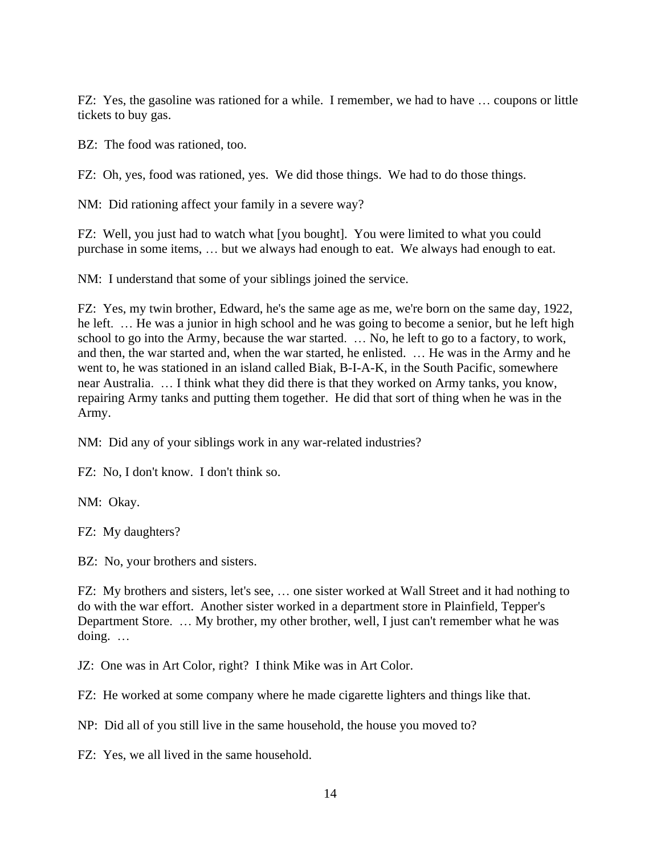FZ: Yes, the gasoline was rationed for a while. I remember, we had to have … coupons or little tickets to buy gas.

BZ: The food was rationed, too.

FZ: Oh, yes, food was rationed, yes. We did those things. We had to do those things.

NM: Did rationing affect your family in a severe way?

FZ: Well, you just had to watch what [you bought]. You were limited to what you could purchase in some items, … but we always had enough to eat. We always had enough to eat.

NM: I understand that some of your siblings joined the service.

FZ: Yes, my twin brother, Edward, he's the same age as me, we're born on the same day, 1922, he left. … He was a junior in high school and he was going to become a senior, but he left high school to go into the Army, because the war started. … No, he left to go to a factory, to work, and then, the war started and, when the war started, he enlisted. … He was in the Army and he went to, he was stationed in an island called Biak, B-I-A-K, in the South Pacific, somewhere near Australia. … I think what they did there is that they worked on Army tanks, you know, repairing Army tanks and putting them together. He did that sort of thing when he was in the Army.

NM: Did any of your siblings work in any war-related industries?

FZ: No, I don't know. I don't think so.

NM: Okay.

FZ: My daughters?

BZ: No, your brothers and sisters.

FZ: My brothers and sisters, let's see, … one sister worked at Wall Street and it had nothing to do with the war effort. Another sister worked in a department store in Plainfield, Tepper's Department Store. … My brother, my other brother, well, I just can't remember what he was doing. …

JZ: One was in Art Color, right? I think Mike was in Art Color.

FZ: He worked at some company where he made cigarette lighters and things like that.

NP: Did all of you still live in the same household, the house you moved to?

FZ: Yes, we all lived in the same household.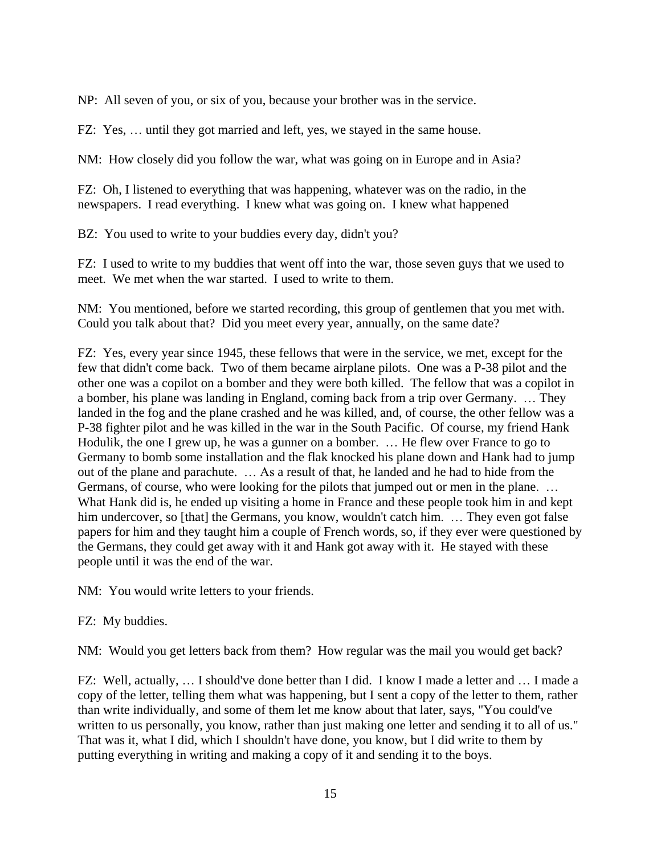NP: All seven of you, or six of you, because your brother was in the service.

FZ: Yes, … until they got married and left, yes, we stayed in the same house.

NM: How closely did you follow the war, what was going on in Europe and in Asia?

FZ: Oh, I listened to everything that was happening, whatever was on the radio, in the newspapers. I read everything. I knew what was going on. I knew what happened

BZ: You used to write to your buddies every day, didn't you?

FZ: I used to write to my buddies that went off into the war, those seven guys that we used to meet. We met when the war started. I used to write to them.

NM: You mentioned, before we started recording, this group of gentlemen that you met with. Could you talk about that? Did you meet every year, annually, on the same date?

FZ: Yes, every year since 1945, these fellows that were in the service, we met, except for the few that didn't come back. Two of them became airplane pilots. One was a P-38 pilot and the other one was a copilot on a bomber and they were both killed. The fellow that was a copilot in a bomber, his plane was landing in England, coming back from a trip over Germany. … They landed in the fog and the plane crashed and he was killed, and, of course, the other fellow was a P-38 fighter pilot and he was killed in the war in the South Pacific. Of course, my friend Hank Hodulik, the one I grew up, he was a gunner on a bomber. … He flew over France to go to Germany to bomb some installation and the flak knocked his plane down and Hank had to jump out of the plane and parachute. … As a result of that, he landed and he had to hide from the Germans, of course, who were looking for the pilots that jumped out or men in the plane. … What Hank did is, he ended up visiting a home in France and these people took him in and kept him undercover, so [that] the Germans, you know, wouldn't catch him. ... They even got false papers for him and they taught him a couple of French words, so, if they ever were questioned by the Germans, they could get away with it and Hank got away with it. He stayed with these people until it was the end of the war.

NM: You would write letters to your friends.

### FZ: My buddies.

NM: Would you get letters back from them? How regular was the mail you would get back?

FZ: Well, actually, … I should've done better than I did. I know I made a letter and … I made a copy of the letter, telling them what was happening, but I sent a copy of the letter to them, rather than write individually, and some of them let me know about that later, says, "You could've written to us personally, you know, rather than just making one letter and sending it to all of us." That was it, what I did, which I shouldn't have done, you know, but I did write to them by putting everything in writing and making a copy of it and sending it to the boys.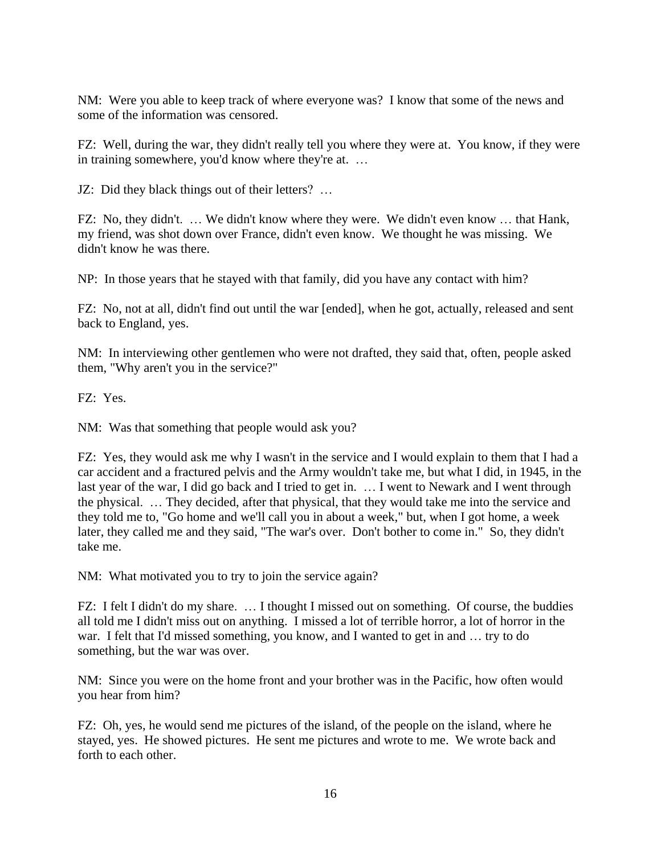NM: Were you able to keep track of where everyone was? I know that some of the news and some of the information was censored.

FZ: Well, during the war, they didn't really tell you where they were at. You know, if they were in training somewhere, you'd know where they're at. …

JZ: Did they black things out of their letters? …

FZ: No, they didn't. … We didn't know where they were. We didn't even know … that Hank, my friend, was shot down over France, didn't even know. We thought he was missing. We didn't know he was there.

NP: In those years that he stayed with that family, did you have any contact with him?

FZ: No, not at all, didn't find out until the war [ended], when he got, actually, released and sent back to England, yes.

NM: In interviewing other gentlemen who were not drafted, they said that, often, people asked them, "Why aren't you in the service?"

FZ: Yes.

NM: Was that something that people would ask you?

FZ: Yes, they would ask me why I wasn't in the service and I would explain to them that I had a car accident and a fractured pelvis and the Army wouldn't take me, but what I did, in 1945, in the last year of the war, I did go back and I tried to get in. … I went to Newark and I went through the physical. … They decided, after that physical, that they would take me into the service and they told me to, "Go home and we'll call you in about a week," but, when I got home, a week later, they called me and they said, "The war's over. Don't bother to come in." So, they didn't take me.

NM: What motivated you to try to join the service again?

FZ: I felt I didn't do my share. … I thought I missed out on something. Of course, the buddies all told me I didn't miss out on anything. I missed a lot of terrible horror, a lot of horror in the war. I felt that I'd missed something, you know, and I wanted to get in and … try to do something, but the war was over.

NM: Since you were on the home front and your brother was in the Pacific, how often would you hear from him?

FZ: Oh, yes, he would send me pictures of the island, of the people on the island, where he stayed, yes. He showed pictures. He sent me pictures and wrote to me. We wrote back and forth to each other.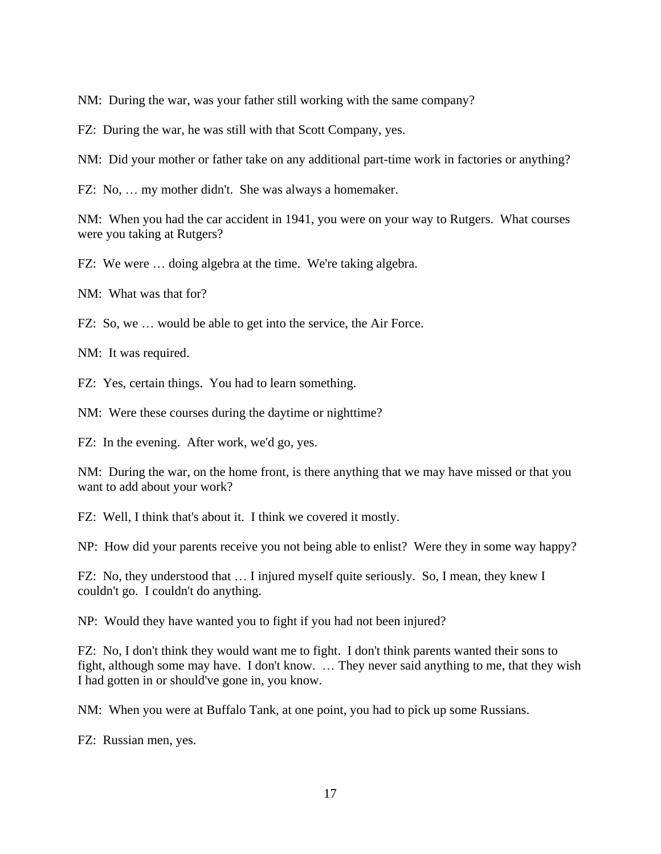NM: During the war, was your father still working with the same company?

FZ: During the war, he was still with that Scott Company, yes.

NM: Did your mother or father take on any additional part-time work in factories or anything?

FZ: No, … my mother didn't. She was always a homemaker.

NM: When you had the car accident in 1941, you were on your way to Rutgers. What courses were you taking at Rutgers?

FZ: We were … doing algebra at the time. We're taking algebra.

NM: What was that for?

FZ: So, we … would be able to get into the service, the Air Force.

NM: It was required.

FZ: Yes, certain things. You had to learn something.

NM: Were these courses during the daytime or nighttime?

FZ: In the evening. After work, we'd go, yes.

NM: During the war, on the home front, is there anything that we may have missed or that you want to add about your work?

FZ: Well, I think that's about it. I think we covered it mostly.

NP: How did your parents receive you not being able to enlist? Were they in some way happy?

FZ: No, they understood that … I injured myself quite seriously. So, I mean, they knew I couldn't go. I couldn't do anything.

NP: Would they have wanted you to fight if you had not been injured?

FZ: No, I don't think they would want me to fight. I don't think parents wanted their sons to fight, although some may have. I don't know. … They never said anything to me, that they wish I had gotten in or should've gone in, you know.

NM: When you were at Buffalo Tank, at one point, you had to pick up some Russians.

FZ: Russian men, yes.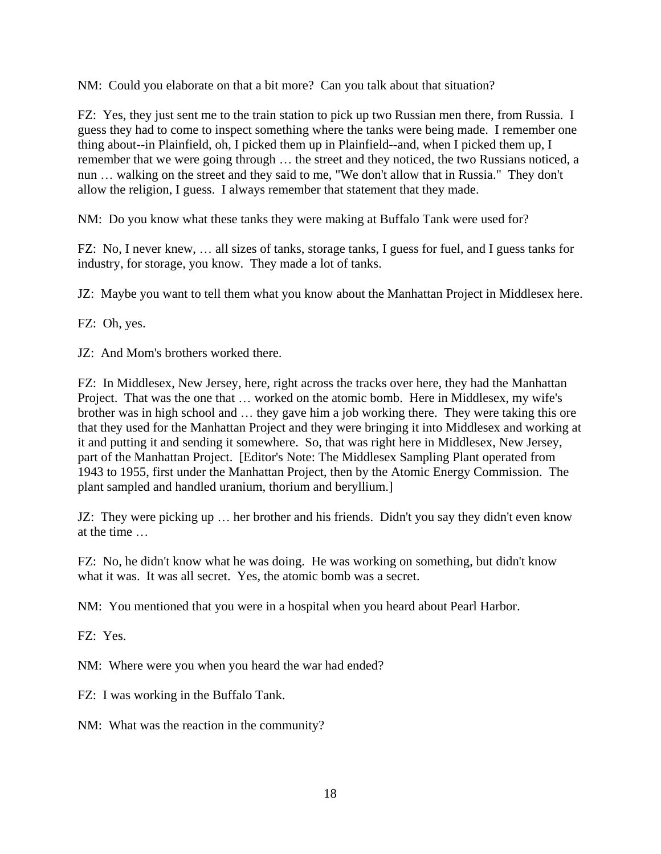NM: Could you elaborate on that a bit more? Can you talk about that situation?

FZ: Yes, they just sent me to the train station to pick up two Russian men there, from Russia. I guess they had to come to inspect something where the tanks were being made. I remember one thing about--in Plainfield, oh, I picked them up in Plainfield--and, when I picked them up, I remember that we were going through … the street and they noticed, the two Russians noticed, a nun … walking on the street and they said to me, "We don't allow that in Russia." They don't allow the religion, I guess. I always remember that statement that they made.

NM: Do you know what these tanks they were making at Buffalo Tank were used for?

FZ: No, I never knew, … all sizes of tanks, storage tanks, I guess for fuel, and I guess tanks for industry, for storage, you know. They made a lot of tanks.

JZ: Maybe you want to tell them what you know about the Manhattan Project in Middlesex here.

FZ: Oh, yes.

JZ: And Mom's brothers worked there.

FZ: In Middlesex, New Jersey, here, right across the tracks over here, they had the Manhattan Project. That was the one that … worked on the atomic bomb. Here in Middlesex, my wife's brother was in high school and … they gave him a job working there. They were taking this ore that they used for the Manhattan Project and they were bringing it into Middlesex and working at it and putting it and sending it somewhere. So, that was right here in Middlesex, New Jersey, part of the Manhattan Project. [Editor's Note: The Middlesex Sampling Plant operated from 1943 to 1955, first under the Manhattan Project, then by the Atomic Energy Commission. The plant sampled and handled uranium, thorium and beryllium.]

JZ: They were picking up … her brother and his friends. Didn't you say they didn't even know at the time …

FZ: No, he didn't know what he was doing. He was working on something, but didn't know what it was. It was all secret. Yes, the atomic bomb was a secret.

NM: You mentioned that you were in a hospital when you heard about Pearl Harbor.

FZ: Yes.

NM: Where were you when you heard the war had ended?

FZ: I was working in the Buffalo Tank.

NM: What was the reaction in the community?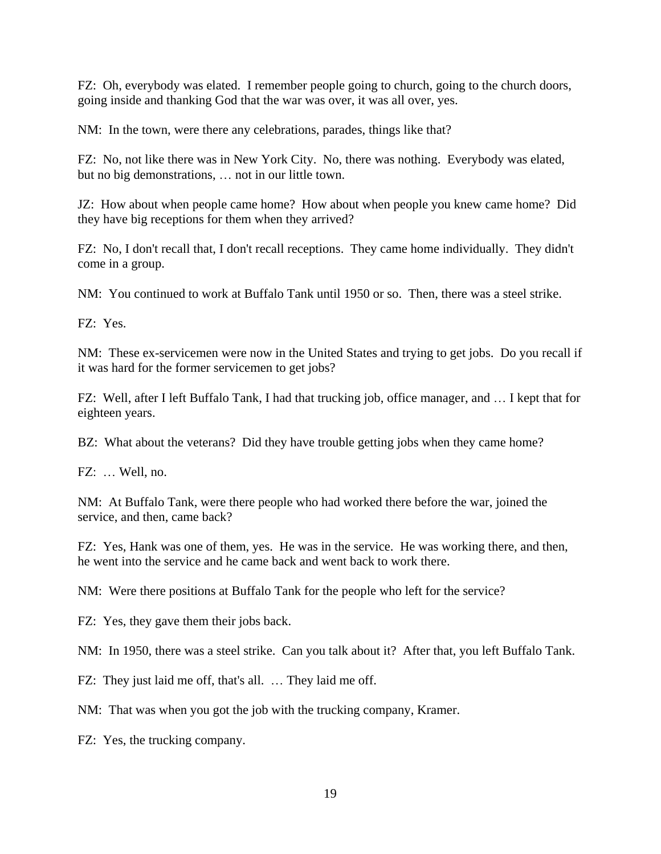FZ: Oh, everybody was elated. I remember people going to church, going to the church doors, going inside and thanking God that the war was over, it was all over, yes.

NM: In the town, were there any celebrations, parades, things like that?

FZ: No, not like there was in New York City. No, there was nothing. Everybody was elated, but no big demonstrations, … not in our little town.

JZ: How about when people came home? How about when people you knew came home? Did they have big receptions for them when they arrived?

FZ: No, I don't recall that, I don't recall receptions. They came home individually. They didn't come in a group.

NM: You continued to work at Buffalo Tank until 1950 or so. Then, there was a steel strike.

FZ: Yes.

NM: These ex-servicemen were now in the United States and trying to get jobs. Do you recall if it was hard for the former servicemen to get jobs?

FZ: Well, after I left Buffalo Tank, I had that trucking job, office manager, and … I kept that for eighteen years.

BZ: What about the veterans? Did they have trouble getting jobs when they came home?

FZ: … Well, no.

NM: At Buffalo Tank, were there people who had worked there before the war, joined the service, and then, came back?

FZ: Yes, Hank was one of them, yes. He was in the service. He was working there, and then, he went into the service and he came back and went back to work there.

NM: Were there positions at Buffalo Tank for the people who left for the service?

FZ: Yes, they gave them their jobs back.

NM: In 1950, there was a steel strike. Can you talk about it? After that, you left Buffalo Tank.

FZ: They just laid me off, that's all. … They laid me off.

NM: That was when you got the job with the trucking company, Kramer.

FZ: Yes, the trucking company.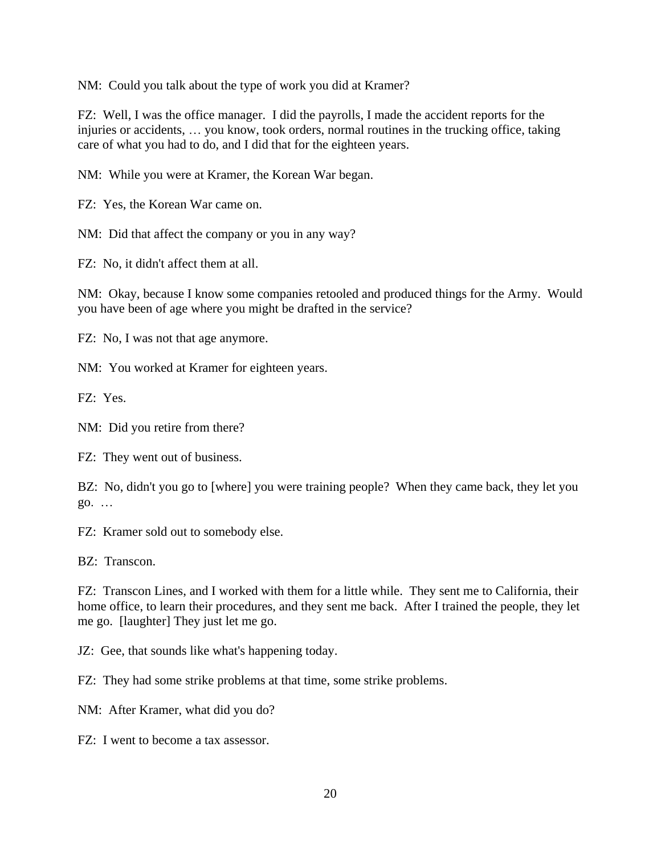NM: Could you talk about the type of work you did at Kramer?

FZ: Well, I was the office manager. I did the payrolls, I made the accident reports for the injuries or accidents, … you know, took orders, normal routines in the trucking office, taking care of what you had to do, and I did that for the eighteen years.

NM: While you were at Kramer, the Korean War began.

FZ: Yes, the Korean War came on.

NM: Did that affect the company or you in any way?

FZ: No, it didn't affect them at all.

NM: Okay, because I know some companies retooled and produced things for the Army. Would you have been of age where you might be drafted in the service?

FZ: No, I was not that age anymore.

NM: You worked at Kramer for eighteen years.

FZ: Yes.

NM: Did you retire from there?

FZ: They went out of business.

BZ: No, didn't you go to [where] you were training people? When they came back, they let you go. …

FZ: Kramer sold out to somebody else.

BZ: Transcon.

FZ: Transcon Lines, and I worked with them for a little while. They sent me to California, their home office, to learn their procedures, and they sent me back. After I trained the people, they let me go. [laughter] They just let me go.

JZ: Gee, that sounds like what's happening today.

FZ: They had some strike problems at that time, some strike problems.

NM: After Kramer, what did you do?

FZ: I went to become a tax assessor.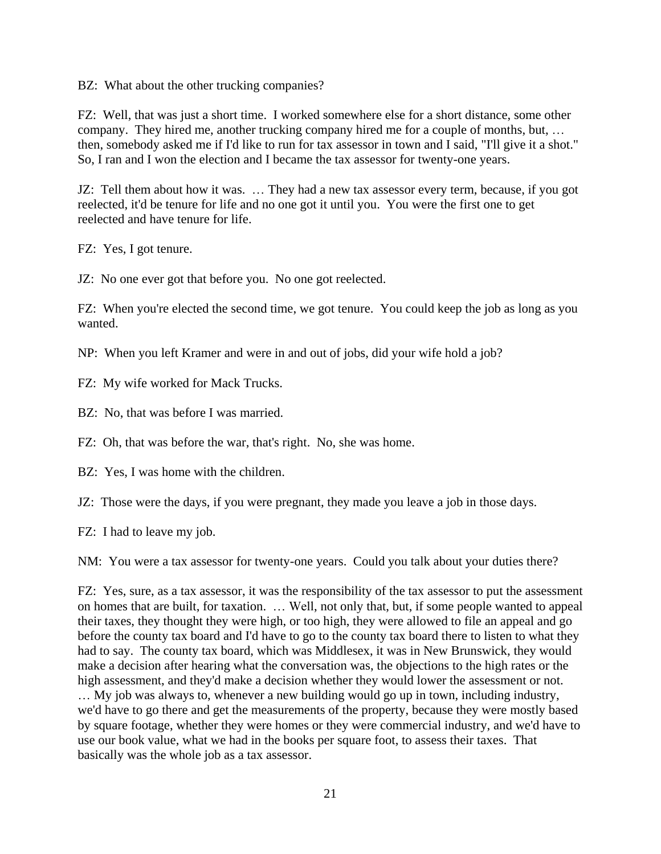BZ: What about the other trucking companies?

FZ: Well, that was just a short time. I worked somewhere else for a short distance, some other company. They hired me, another trucking company hired me for a couple of months, but, … then, somebody asked me if I'd like to run for tax assessor in town and I said, "I'll give it a shot." So, I ran and I won the election and I became the tax assessor for twenty-one years.

JZ: Tell them about how it was. … They had a new tax assessor every term, because, if you got reelected, it'd be tenure for life and no one got it until you. You were the first one to get reelected and have tenure for life.

FZ: Yes, I got tenure.

JZ: No one ever got that before you. No one got reelected.

FZ: When you're elected the second time, we got tenure. You could keep the job as long as you wanted.

- NP: When you left Kramer and were in and out of jobs, did your wife hold a job?
- FZ: My wife worked for Mack Trucks.
- BZ: No, that was before I was married.

FZ: Oh, that was before the war, that's right. No, she was home.

- BZ: Yes, I was home with the children.
- JZ: Those were the days, if you were pregnant, they made you leave a job in those days.
- FZ: I had to leave my job.

NM: You were a tax assessor for twenty-one years. Could you talk about your duties there?

FZ: Yes, sure, as a tax assessor, it was the responsibility of the tax assessor to put the assessment on homes that are built, for taxation. … Well, not only that, but, if some people wanted to appeal their taxes, they thought they were high, or too high, they were allowed to file an appeal and go before the county tax board and I'd have to go to the county tax board there to listen to what they had to say. The county tax board, which was Middlesex, it was in New Brunswick, they would make a decision after hearing what the conversation was, the objections to the high rates or the high assessment, and they'd make a decision whether they would lower the assessment or not. … My job was always to, whenever a new building would go up in town, including industry, we'd have to go there and get the measurements of the property, because they were mostly based by square footage, whether they were homes or they were commercial industry, and we'd have to use our book value, what we had in the books per square foot, to assess their taxes. That basically was the whole job as a tax assessor.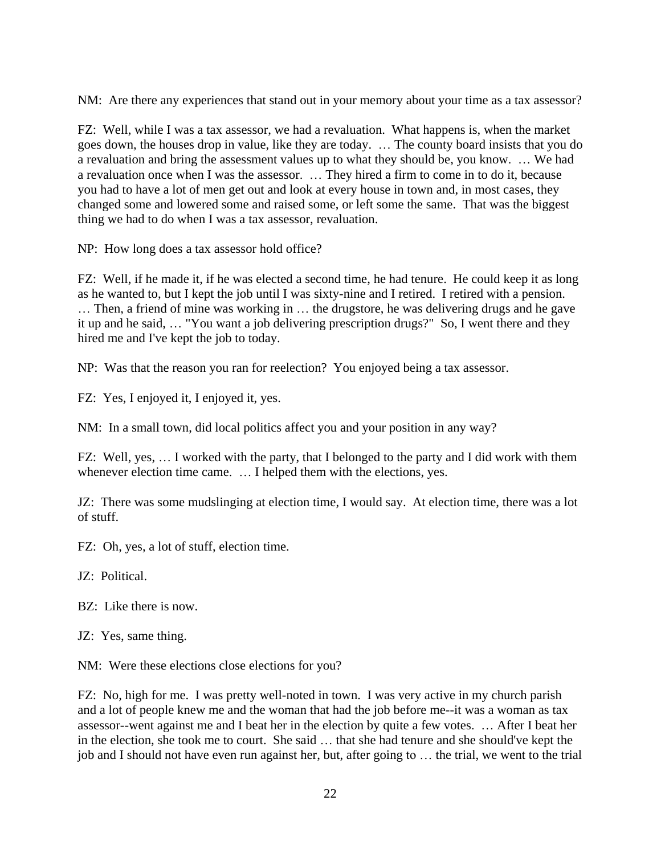NM: Are there any experiences that stand out in your memory about your time as a tax assessor?

FZ: Well, while I was a tax assessor, we had a revaluation. What happens is, when the market goes down, the houses drop in value, like they are today. … The county board insists that you do a revaluation and bring the assessment values up to what they should be, you know. … We had a revaluation once when I was the assessor. … They hired a firm to come in to do it, because you had to have a lot of men get out and look at every house in town and, in most cases, they changed some and lowered some and raised some, or left some the same. That was the biggest thing we had to do when I was a tax assessor, revaluation.

NP: How long does a tax assessor hold office?

FZ: Well, if he made it, if he was elected a second time, he had tenure. He could keep it as long as he wanted to, but I kept the job until I was sixty-nine and I retired. I retired with a pension. … Then, a friend of mine was working in … the drugstore, he was delivering drugs and he gave it up and he said, … "You want a job delivering prescription drugs?" So, I went there and they hired me and I've kept the job to today.

NP: Was that the reason you ran for reelection? You enjoyed being a tax assessor.

FZ: Yes, I enjoyed it, I enjoyed it, yes.

NM: In a small town, did local politics affect you and your position in any way?

FZ: Well, yes, … I worked with the party, that I belonged to the party and I did work with them whenever election time came. … I helped them with the elections, yes.

JZ: There was some mudslinging at election time, I would say. At election time, there was a lot of stuff.

FZ: Oh, yes, a lot of stuff, election time.

JZ: Political.

BZ: Like there is now.

JZ: Yes, same thing.

NM: Were these elections close elections for you?

FZ: No, high for me. I was pretty well-noted in town. I was very active in my church parish and a lot of people knew me and the woman that had the job before me--it was a woman as tax assessor--went against me and I beat her in the election by quite a few votes. … After I beat her in the election, she took me to court. She said … that she had tenure and she should've kept the job and I should not have even run against her, but, after going to … the trial, we went to the trial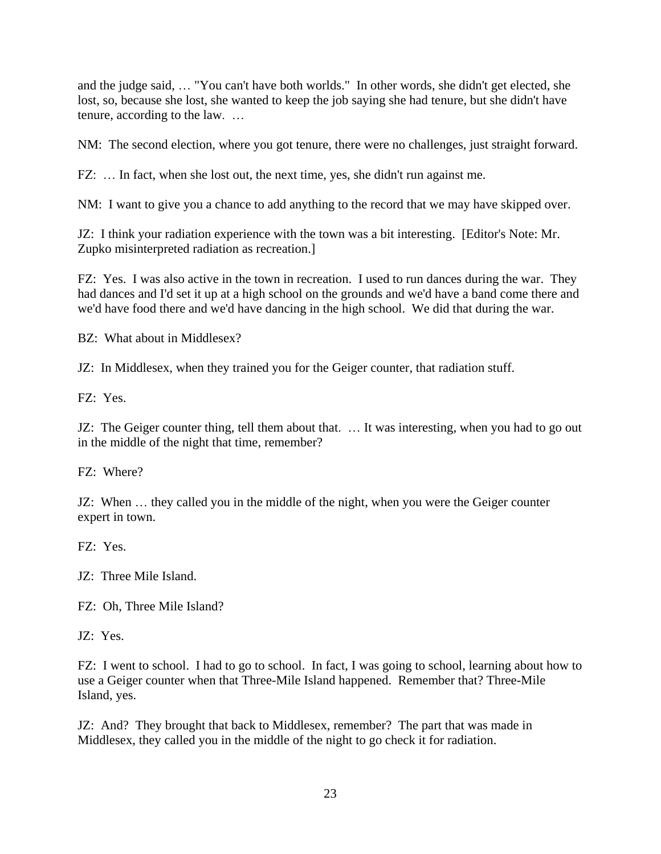and the judge said, … "You can't have both worlds." In other words, she didn't get elected, she lost, so, because she lost, she wanted to keep the job saying she had tenure, but she didn't have tenure, according to the law. …

NM: The second election, where you got tenure, there were no challenges, just straight forward.

FZ: … In fact, when she lost out, the next time, yes, she didn't run against me.

NM: I want to give you a chance to add anything to the record that we may have skipped over.

JZ: I think your radiation experience with the town was a bit interesting. [Editor's Note: Mr. Zupko misinterpreted radiation as recreation.]

FZ: Yes. I was also active in the town in recreation. I used to run dances during the war. They had dances and I'd set it up at a high school on the grounds and we'd have a band come there and we'd have food there and we'd have dancing in the high school. We did that during the war.

BZ: What about in Middlesex?

JZ: In Middlesex, when they trained you for the Geiger counter, that radiation stuff.

FZ: Yes.

JZ: The Geiger counter thing, tell them about that. … It was interesting, when you had to go out in the middle of the night that time, remember?

FZ: Where?

JZ: When … they called you in the middle of the night, when you were the Geiger counter expert in town.

FZ: Yes.

JZ: Three Mile Island.

FZ: Oh, Three Mile Island?

JZ: Yes.

FZ: I went to school. I had to go to school. In fact, I was going to school, learning about how to use a Geiger counter when that Three-Mile Island happened. Remember that? Three-Mile Island, yes.

JZ: And? They brought that back to Middlesex, remember? The part that was made in Middlesex, they called you in the middle of the night to go check it for radiation.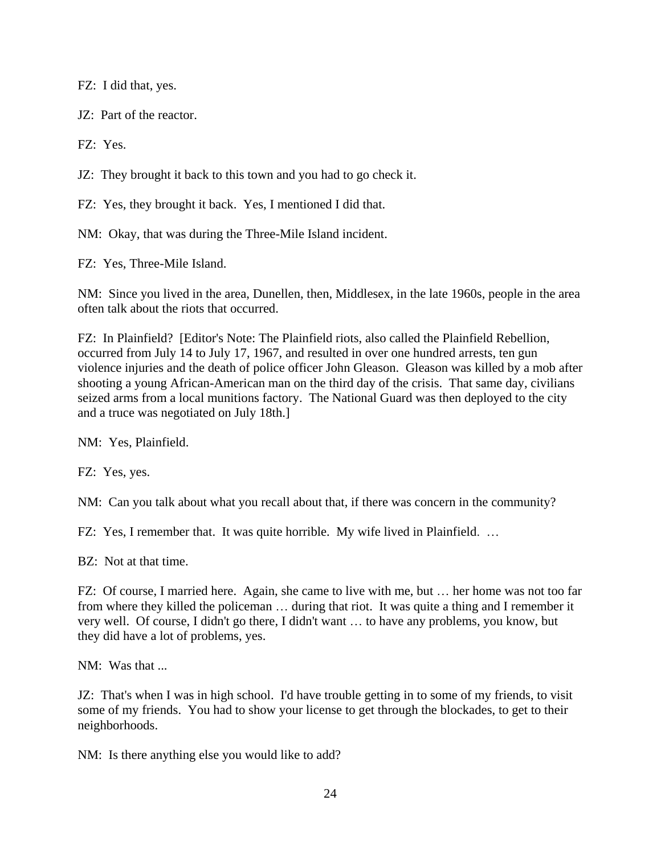FZ: I did that, yes.

JZ: Part of the reactor.

FZ: Yes.

JZ: They brought it back to this town and you had to go check it.

FZ: Yes, they brought it back. Yes, I mentioned I did that.

NM: Okay, that was during the Three-Mile Island incident.

FZ: Yes, Three-Mile Island.

NM: Since you lived in the area, Dunellen, then, Middlesex, in the late 1960s, people in the area often talk about the riots that occurred.

FZ: In Plainfield? [Editor's Note: The Plainfield riots, also called the Plainfield Rebellion, occurred from July 14 to July 17, 1967, and resulted in over one hundred arrests, ten gun violence injuries and the death of police officer John Gleason. Gleason was killed by a mob after shooting a young African-American man on the third day of the crisis. That same day, civilians seized arms from a local munitions factory. The National Guard was then deployed to the city and a truce was negotiated on July 18th.]

NM: Yes, Plainfield.

FZ: Yes, yes.

NM: Can you talk about what you recall about that, if there was concern in the community?

FZ: Yes, I remember that. It was quite horrible. My wife lived in Plainfield. …

BZ: Not at that time.

FZ: Of course, I married here. Again, she came to live with me, but … her home was not too far from where they killed the policeman … during that riot. It was quite a thing and I remember it very well. Of course, I didn't go there, I didn't want … to have any problems, you know, but they did have a lot of problems, yes.

NM: Was that ...

JZ: That's when I was in high school. I'd have trouble getting in to some of my friends, to visit some of my friends. You had to show your license to get through the blockades, to get to their neighborhoods.

NM: Is there anything else you would like to add?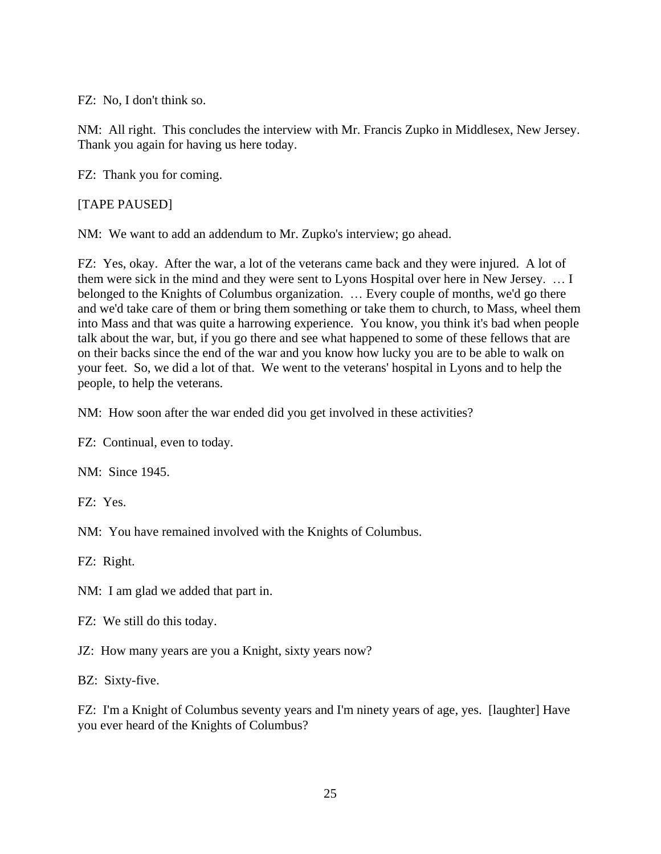FZ: No, I don't think so.

NM: All right. This concludes the interview with Mr. Francis Zupko in Middlesex, New Jersey. Thank you again for having us here today.

FZ: Thank you for coming.

[TAPE PAUSED]

NM: We want to add an addendum to Mr. Zupko's interview; go ahead.

FZ: Yes, okay. After the war, a lot of the veterans came back and they were injured. A lot of them were sick in the mind and they were sent to Lyons Hospital over here in New Jersey. … I belonged to the Knights of Columbus organization. … Every couple of months, we'd go there and we'd take care of them or bring them something or take them to church, to Mass, wheel them into Mass and that was quite a harrowing experience. You know, you think it's bad when people talk about the war, but, if you go there and see what happened to some of these fellows that are on their backs since the end of the war and you know how lucky you are to be able to walk on your feet. So, we did a lot of that. We went to the veterans' hospital in Lyons and to help the people, to help the veterans.

NM: How soon after the war ended did you get involved in these activities?

FZ: Continual, even to today.

NM: Since 1945.

FZ: Yes.

NM: You have remained involved with the Knights of Columbus.

FZ: Right.

NM: I am glad we added that part in.

FZ: We still do this today.

JZ: How many years are you a Knight, sixty years now?

BZ: Sixty-five.

FZ: I'm a Knight of Columbus seventy years and I'm ninety years of age, yes. [laughter] Have you ever heard of the Knights of Columbus?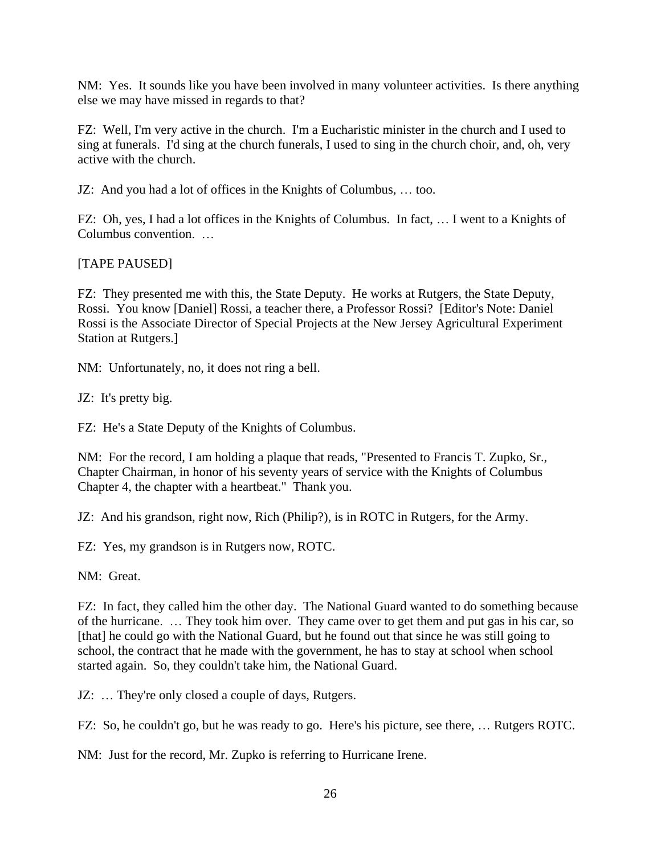NM: Yes. It sounds like you have been involved in many volunteer activities. Is there anything else we may have missed in regards to that?

FZ: Well, I'm very active in the church. I'm a Eucharistic minister in the church and I used to sing at funerals. I'd sing at the church funerals, I used to sing in the church choir, and, oh, very active with the church.

JZ: And you had a lot of offices in the Knights of Columbus, … too.

FZ: Oh, yes, I had a lot offices in the Knights of Columbus. In fact, … I went to a Knights of Columbus convention. …

[TAPE PAUSED]

FZ: They presented me with this, the State Deputy. He works at Rutgers, the State Deputy, Rossi. You know [Daniel] Rossi, a teacher there, a Professor Rossi? [Editor's Note: Daniel Rossi is the Associate Director of Special Projects at the New Jersey Agricultural Experiment Station at Rutgers.]

NM: Unfortunately, no, it does not ring a bell.

JZ: It's pretty big.

FZ: He's a State Deputy of the Knights of Columbus.

NM: For the record, I am holding a plaque that reads, "Presented to Francis T. Zupko, Sr., Chapter Chairman, in honor of his seventy years of service with the Knights of Columbus Chapter 4, the chapter with a heartbeat." Thank you.

JZ: And his grandson, right now, Rich (Philip?), is in ROTC in Rutgers, for the Army.

FZ: Yes, my grandson is in Rutgers now, ROTC.

NM: Great.

FZ: In fact, they called him the other day. The National Guard wanted to do something because of the hurricane. … They took him over. They came over to get them and put gas in his car, so [that] he could go with the National Guard, but he found out that since he was still going to school, the contract that he made with the government, he has to stay at school when school started again. So, they couldn't take him, the National Guard.

JZ: ... They're only closed a couple of days, Rutgers.

FZ: So, he couldn't go, but he was ready to go. Here's his picture, see there, … Rutgers ROTC.

NM: Just for the record, Mr. Zupko is referring to Hurricane Irene.